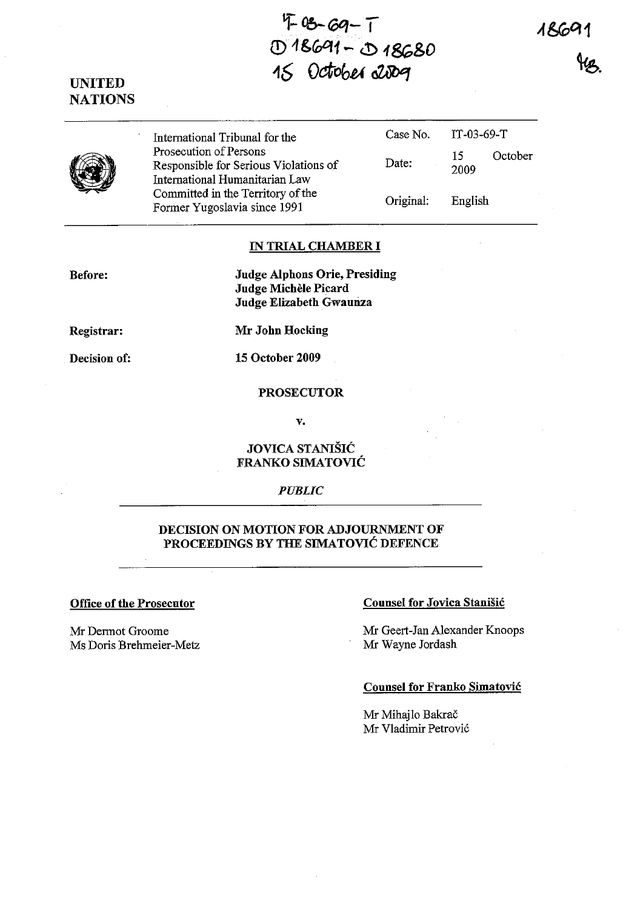1860

*9-Ob-roq-* **T**  *(!)1&Ci:A1-* ~ 1~&O *16 Oa-obl-l* **aUlJef** 





International Tribunal for the Case No. Prosecution of Persons Responsible for Serious Violations of Date: International Humanitarian Law Committed in the Territory of the Former Yugoslavia since 1991 Communication Coriginal: IT-03-69-T 15 October 2009 English

#### **IN TRIAL CHAMBER I**

**Before:** 

**Judge Alphons Orie, Presiding Judge Michele Picard Judge Elizabeth Gwaunza** 

**Registrar:** 

**Decision of:** 

**Mr John Hocking** 

**15 October 2009** 

### **PROSECUTOR**

v.

### **JOVICA STANISH:: FRANKO SIMATOVIC**

*PUBLIC* 

### **DECISION ON MOTION FOR ADJOURNMENT OF PROCEEDINGS BY THE SIMATOVIC DEFENCE**

Mr Dermot Groome Ms Doris Brehmeier-Metz

### **Office of the Prosecutor Counsel for Jovica Stanisic Counsel for Jovica Stanisic**

Mr Geert-Jan Alexander Knoops Mr Wayne Jordash

## **Counsel for Franko Simatovic**

Mr Mihajlo Bakrač Mr Vladimir Petrovic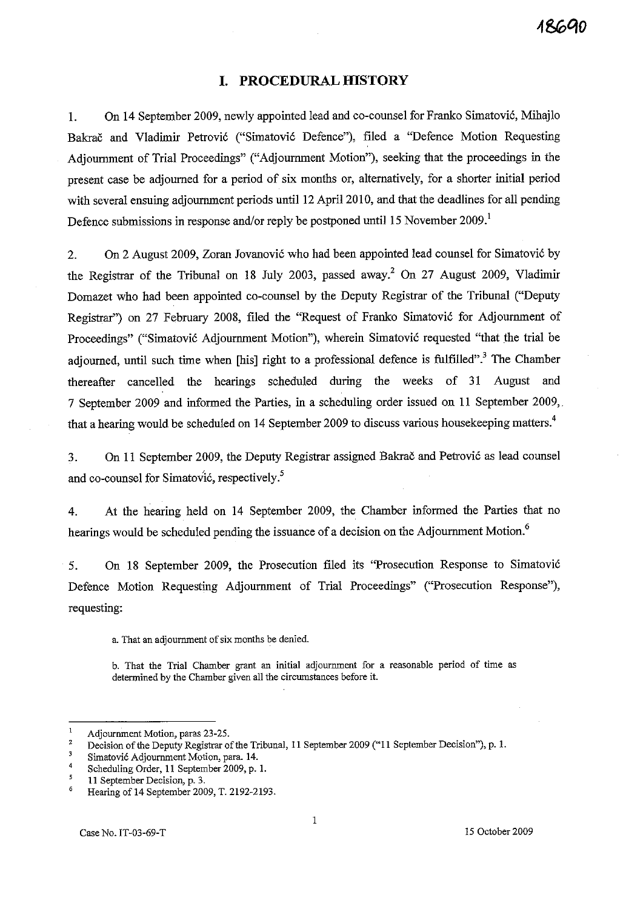# **I. PROCEDURAL HISTORY**

1. On 14 September 2009, newly appointed lead and co-counsel for Franko Simatovic, Mihajlo Bakrač and Vladimir Petrović ("Simatović Defence"), filed a "Defence Motion Requesting Adjournment of Trial Proceedings" ("Adjournment Motion"), seeking that the proceedings in the present case be adjourned for a period of six months or, alternatively, for a shorter initial period with several ensuing adjournment periods until 12 April 2010, and that the deadlines for all pending Defence submissions in response and/or reply be postponed until 15 November 2009.<sup>1</sup>

2. On 2 August 2009, Zoran Jovanovic who had been appointed lead counsel for Simatovic by the Registrar of the Tribunal on 18 July 2003, passed away.<sup>2</sup> On 27 August 2009, Vladimir Domazet who had been appointed co-counsel by the Deputy Registrar of the Tribunal ("Deputy Registrar") on 27 February 2008, filed the "Request of Franko Simatovic for Adjournment of Proceedings" ("Simatovic Adjournment Motion"), wherein Simatovic requested "that the trial be adjourned, until such time when [his] right to a professional defence is fulfilled".<sup>3</sup> The Chamber thereafter cancelled the hearings scheduled during the weeks of 31 August and 7 September 2009 and informed the Parties, in a scheduling order issued on 11 September 2009,. that a hearing would be scheduled on 14 September 2009 to discuss various housekeeping matters.<sup>4</sup>

3. On 11 September 2009, the Deputy Registrar assigned Bakrac and Petrovic as lead counsel and co-counsel for Simatovic, respectively.<sup>5</sup>

4. At the hearing held on 14 September 2009, the Chamber informed the Parties that no hearings would be scheduled pending the issuance of a decision on the Adjournment Motion.<sup>6</sup>

5. On 18 September 2009, the Prosecution filed its "Prosecution Response to Simatovic Defence Motion Requesting Adjournment of Trial Proceedings" ("Prosecution Response"), requesting:

a. That an adjournment of six months be denied.

**h. That the Trial Chamber grant an initial adjournment for a reasonable period of time as determined by the Chamber given all the circumstances before it.** 

Adjournment Motion, paras 23-25.

<sup>2</sup>  Decision of the Deputy Registrar of the Tribunal, 11 September 2009 ("11 September Decision"), p. 1.

 $\overline{\mathbf{3}}$ **Simatovic Adjournment Motion, para. 14.** 

<sup>4</sup>  Scheduling Order, 11 September 2009, p. 1.

 $\overline{\mathbf{5}}$ **11 September Decision, p. 3.** 

<sup>6</sup>  Hearing of 14 September 2009, T. 2192-2193.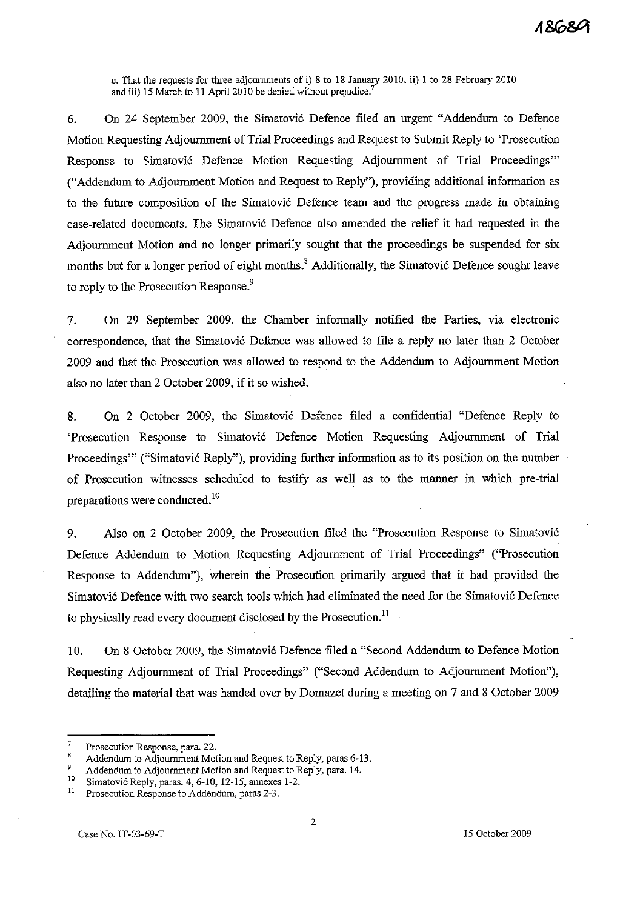c. That the requests for three adjournments of i) 8 to 18 January 2010, ii) 1 to 28 February 2010 and iii) 15 March to 11 April 2010 be denied without prejudice.<sup>'</sup>

6. On 24 September 2009, the Simatovi6 Defence filed an urgent "Addendum to Defence Motion Requesting Adjournment of Trial Proceedings and Request to Submit Reply to 'Prosecution Response to Simatović Defence Motion Requesting Adjournment of Trial Proceedings" ("Addendum to Adjournment Motion and Request to Reply"), providing additional information as to the future composition of the Simatovi6 Defence team and the progress made in obtaining case-related documents. The Simatović Defence also amended the relief it had requested in the Adjournment Motion and no longer primarily sought that the proceedings be suspended for six months but for a longer period of eight months.<sup>8</sup> Additionally, the Simatović Defence sought leave to reply to the Prosecution Response.<sup>9</sup>

7. On 29 September 2009, the Chamber informally notified the Parties, via electronic correspondence, that the Simatović Defence was allowed to file a reply no later than 2 October 2009 and that the Prosecution was allowed to respond to the Addendum to Adjournment Motion also no later than 2 October 2009, if it so wished.

8. On 2 October 2009, the Simatovi6 Defence filed a confidential "Defence Reply to 'Prosecution Response to Simatovi6 Defence Motion Requesting Adjournment of Trial Proceedings"" ("Simatović Reply"), providing further information as to its position on the number of Prosecution witnesses scheduled to testify as well as to the manner in which pre-trial preparations were conducted.<sup>10</sup>

9. Also on 2 October 2009, the Prosecution filed the "Prosecution Response to Simatovi6 Defence Addendum to Motion Requesting Adjournment of Trial Proceedings" ("Prosecution Response to Addendum"), wherein the Prosecution primarily argued that it had provided the Simatović Defence with two search tools which had eliminated the need for the Simatović Defence to physically read every document disclosed by the Prosecution.<sup>11</sup>

10. On 8 October 2009, the Simatovi6 Defence filed a "Second Addendum to Defence Motion Requesting Adjournment of Trial Proceedings" ("Second Addendum to Adjournment Motion"), detailing the material that was handed over by Domazet during a meeting on 7 and 8 October 2009

**Prosecution Response, para. 22.** 

 $\overline{\mathbf{8}}$ Addendum to Adjournment Motion and Request to Reply, paras 6-13.

<sup>9</sup> Addendum to Adjournment Motion and Request to Reply, para. 14.

<sup>&</sup>lt;sup>10</sup> Simatović Reply, paras.  $4, 6-10, 12-15$ , annexes 1-2.<br><sup>11</sup> Prosecution Response to Addendum, paras 2-3.

**<sup>11</sup>Prosecution Response to Addendum, paras 2-3.**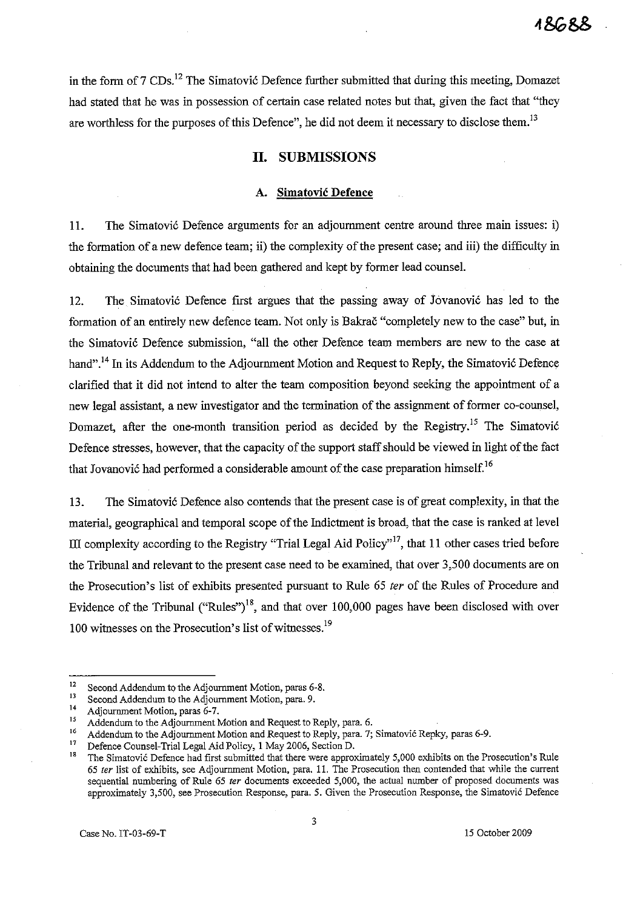in the form of  $7 \text{ CDs}$ .<sup>12</sup> The Simatovic Defence further submitted that during this meeting, Domazet had stated that he was in possession of certain case related notes but that, given the fact that "they are worthless for the purposes of this Defence", he did not deem it necessary to disclose them.<sup>13</sup>

### **II. SUBMISSIONS**

#### **A.** Simatovic Defence

11. The Simatovic Defence arguments for an adjournment centre around three main issues: i) the formation of a new defence team; ii) the complexity of the present case; and iii) the difficulty in obtaining the documents that had been gathered and kept by former lead counsel.

12. The Simatovic Defence first argues that the passing away of Jovanovic has led to the formation of an entirely new defence team. Not only is Bakrac "completely new to the case" but, in the Simatovic Defence submission, "all the other Defence team members are new to the case at hand".<sup>14</sup> In its Addendum to the Adjournment Motion and Request to Reply, the Simatović Defence clarified that it did not intend to alter the team composition beyond seeking the appointment of a new legal assistant, a new investigator and the termination of the assigmnent of former co-counsel, Domazet, after the one-month transition period as decided by the Registry.<sup>15</sup> The Simatović Defence stresses, however, that the capacity of the support staff should be viewed in light of the fact that Jovanović had performed a considerable amount of the case preparation himself.<sup>16</sup>

13. The Simatovic Defence also contends that the present case is of great complexity, in that the material, geographical and temporal scope of the Indictment is broad, that the case is ranked at level III complexity according to the Registry "Trial Legal Aid Policy"<sup>17</sup>, that 11 other cases tried before the Tribunal and relevant to the present case need to be examined, that over 3,500 documents are on the Prosecution's list of exhibits presented pursuant to Rule 65 ter of the Rules of Procedure and Evidence of the Tribunal ("Rules")<sup>18</sup>, and that over 100,000 pages have been disclosed with over 100 witnesses on the Prosecution's list of witnesses.<sup>19</sup>

**<sup>12</sup>Second Addendum to the Adjournment Motion, paras 6-8.** 

<sup>&</sup>lt;sup>13</sup> Second Addendum to the Adjournment Motion, para. 9.<br><sup>14</sup> Adjournment Motion, paras 6.7

**<sup>14</sup> Adjournment Motion, paras 6-7.** 

<sup>&</sup>lt;sup>15</sup> Addendum to the Adjournment Motion and Request to Reply, para. 6.<br><sup>16</sup> Addendum to the Adjournment Motion and Request to Reply, para. 7.

<sup>&</sup>lt;sup>16</sup> Addendum to the Adjournment Motion and Request to Reply, para. 7; Simatovic Repky, paras 6-9.<br><sup>17</sup> Defence Counsel Triel Legal Aid Boliou, 1 May 2006, Section D

<sup>&</sup>lt;sup>17</sup> Defence Counsel-Trial Legal Aid Policy, 1 May 2006, Section D.<br><sup>18</sup> The Simetavić Defense had first submitted that there were approx-

**<sup>18</sup>The Simatovic Defence had first submitted that there were approximately 5,000 exhibits on the Prosecution's Rule**  *65* **fer list of exhibits, see Adjournment Motion, para. 11. The Prosecution then contended that while the current sequential numbering of Rule 65 fer documents exceeded 5,000, the actual number of proposed documents was approximately 3,500, see Prosecution Response, para. 5. Given the Prosecution** Response~ **the Simatovic Defence**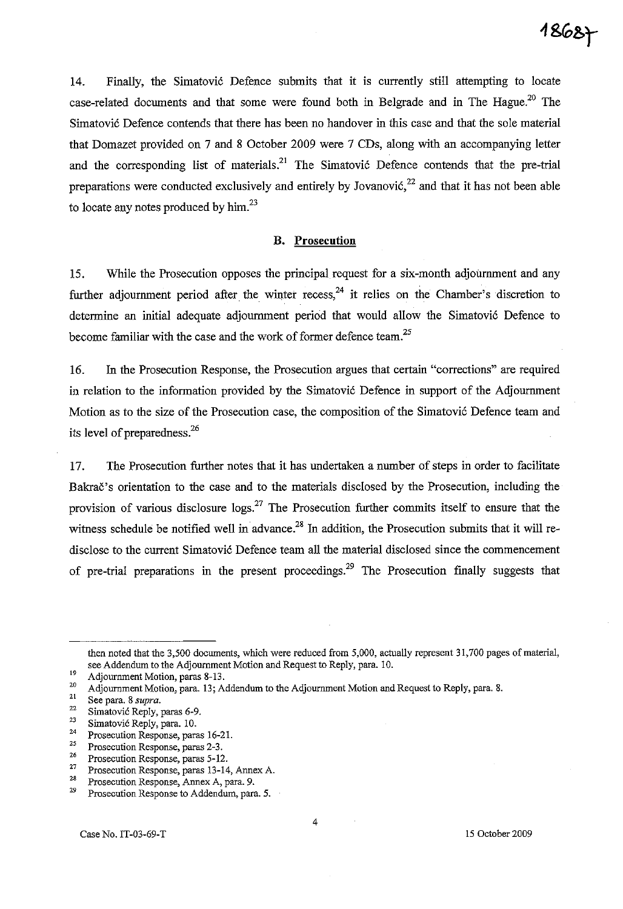14. Finally, the Simatovic Defence submits that it is currently still attempting to locate case-related documents and that some were found both in Belgrade and in The Hague.<sup>20</sup> The Simatovi6 Defence contends that there has been no handover in this case and that the sole material that Domazet provided on 7 and 8 October 2009 were 7 CDs, along with an accompanying letter and the corresponding list of materials.<sup>21</sup> The Simatović Defence contends that the pre-trial preparations were conducted exclusively and entirely by Jovanović, $22$  and that it has not been able to locate any notes produced by  $\text{him.}^{23}$ 

#### **B. Prosecution**

15. While the Prosecution opposes the principal request for a six-month adjournment and any further adjournment period after the winter recess,  $24$  it relies on the Chamber's discretion to determine an initial adequate adjournment period that would allow the Simatović Defence to become familiar with the case and the work of former defence team.<sup>25</sup>

16. In the Prosecution Response, the Prosecution argues that certain "corrections" are required in relation to the information provided by the Simatović Defence in support of the Adjournment Motion as to the size of the Prosecution case, the composition of the Simatović Defence team and its level of preparedness.<sup>26</sup>

17. The Prosecution further notes that it has undertaken a number of steps in order to facilitate Bakrac's orientation to the case and to the materials disclosed by the Prosecution, including the provision of various disclosure  $\log s^{27}$  The Prosecution further commits itself to ensure that the witness schedule be notified well in advance.<sup>28</sup> In addition, the Prosecution submits that it will redisclose to the current Simatović Defence team all the material disclosed since the commencement of pre-trial preparations in the present proceedings.<sup>29</sup> The Prosecution finally suggests that

then noted that the 3,500 documents, which were reduced from 5,000, actually represent 31,700 pages of material, see Addendum to the Adjournment Motion and Request to Reply, para. 10.

 $^{19}$  Adjournment Motion, paras 8-13.<br>  $^{20}$  Adjournment Motion, para 12: A

<sup>&</sup>lt;sup>20</sup> Adjournment Motion, para. 13; Addendum to the Adjournment Motion and Request to Reply, para. 8.<br><sup>21</sup> See nove 8 *supra* 

**<sup>21</sup> See para. 8** *supra.* 

<sup>&</sup>lt;sup>22</sup> Simatović Reply, paras 6-9.<br><sup>23</sup> Simatović Banks name 10.

 $\frac{23}{24}$  Simatović Reply, para. 10.

**<sup>24</sup> Prosecution Response, paras 16-2l.** 

**<sup>25</sup> Prosecution Response, paras 2-3.** 

<sup>&</sup>lt;sup>26</sup> Prosecution Response, paras 5-12.<br><sup>27</sup> Prosecution Bennesse paras 13-14

**<sup>27</sup> Prosecution Response, paras 13-14, Annex A.** 

**<sup>28</sup> Prosecution Response, Annex A, para. 9.** 

Prosecution Response to Addendum, para. 5.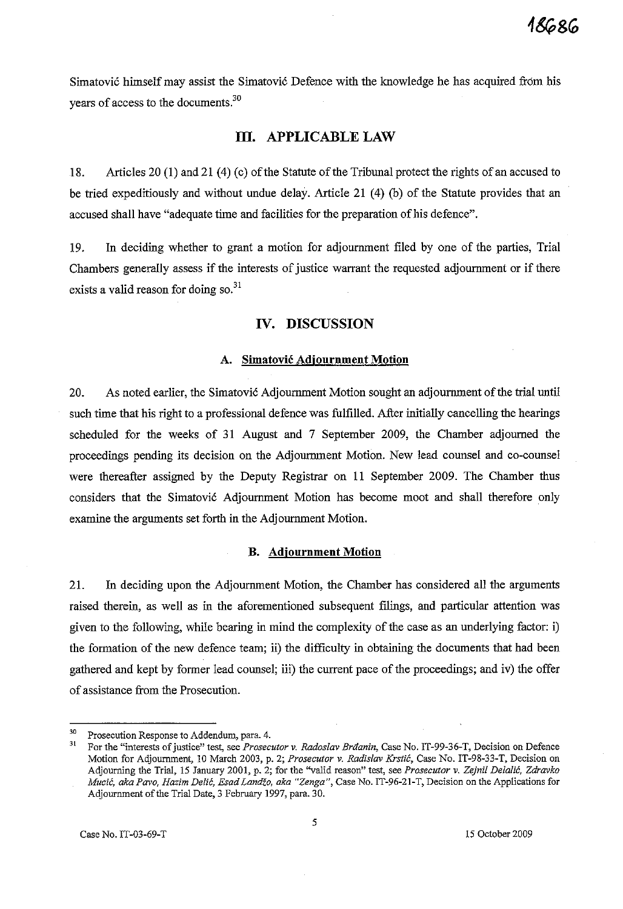Simatovi6 himself may assist the Simatovi6 Defence with the knowledge he has acquired from his years of access to the documents.<sup>30</sup>

### **III. APPLICABLE LAW**

18. Articles 20 (1) and 21 (4) (c) of the Statute of the Tribunal protect the rights of an accused to be tried expeditiously and without undue delay. Article 21 (4) (b) of the Statute provides that an accused shall have "adequate time and facilities for the preparation of his defence".

19. In deciding whether to grant a motion for adjournment filed by one of the parties, Trial Chambers generally assess if the interests of justice warrant the requested adjournment or if there exists a valid reason for doing so.<sup>31</sup>

### **IV. DISCUSSION**

#### **A. Simatovic Adjournment Motion**

20. As noted earlier, the Simatović Adjournment Motion sought an adjournment of the trial until such time that his right to a professional defence was fulfilled. After initially cancelling the hearings scheduled for the weeks of 31 August and 7 September 2009, the Chamber adjoumed the proceedings pending its decision on the Adjournment Motion. New lead counsel and co-counsel were thereafter assigned by the Deputy Registrar on 11 September 2009. The Chamber thus considers that the Simatovi6 Adjournment Motion has become moot and shall therefore only examine the arguments set forth in the Adjournment Motion.

#### **B. Adjournment Motion**

21. In deciding upon the Adjournment Motion, the Chamber has considered all the arguments raised therein, as well as in the aforementioned subsequent filings, and particular attention was given to the following, while bearing in mind the complexity of the case as an underlying factor: i) the formation of the new defence team; ii) the difficulty in obtaining the documents that had been gathered and kept by former lead counsel; iii) the current pace of the proceedings; and iv) the offer of assistance from the Prosecution.

**<sup>30</sup> Prosecution Response to Addendum, para. 4.** 

**<sup>31</sup>For the "interests of justice" test, see** *Prosecutor* **v.** *Radoslav Braanin,* **Case No. IT-99-36-T, Decision on Defence Motion for Adjournment, 10 March 2003, p. 2;** *Prosecutor* **v.** *Radislav Krstic,* **Case No. IT-98-33-T, Decision on Adjourning the Trial, 15 January 2001, p. 2; for the ''valid reason" test, see** *Prosecutor v. Zejnil Delalii:, Zelravko Mucić, aka Pavo, Hazim Delić, Esad Landžo, aka "Zenga", Case No. IT-96-21-T, Decision on the Applications for* Adjournment of the Trial Date, 3 February 1997, para. 30.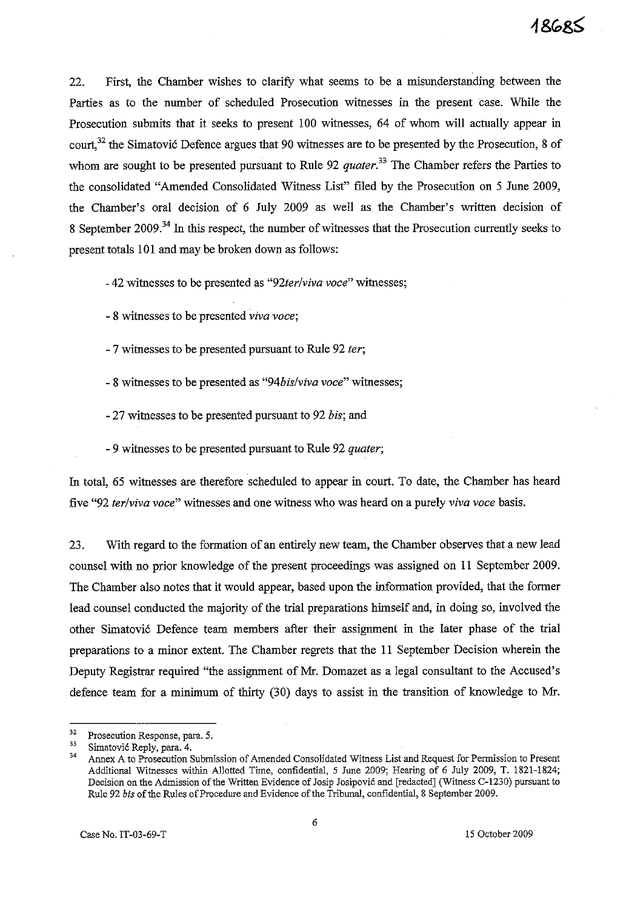22. First, the Chamber wishes to clarify what seems to be a misunderstanding between the Parties as to the nmnber of scheduled Prosecution witnesses in the present case. While the Prosecution submits that it seeks to present 100 witnesses, 64 of whom will actually appear in court,<sup>32</sup> the Simatović Defence argues that 90 witnesses are to be presented by the Prosecution, 8 of whom are sought to be presented pursuant to Rule 92 *quater*<sup>33</sup> The Chamber refers the Parties to the consolidated "Amended Consolidated Witness List" filed by the Prosecution on 5 June 2009, the Chamber's oral decision of 6 July 2009 as well as the Chamber's written decision of 8 September 2009.<sup>34</sup> In this respect, the number of witnesses that the Prosecution currently seeks to present totals 101 and may be broken down as follows:

- 42 witnesses to be presented as *"92ter/viva voce"* witnesses;

- 8 witnesses to be presented *viva voce;*
- 7 witnesses to be presented pursuant to Rule 92 *ter;*
- 8 witnesses to be presented as *"94bis/viva voce"* witnesses;
- 27 witnesses to be presented pursuant to 92 *bis;* and
- 9 witnesses to be presented pursuant to Rule 92 *quater;*

In total, 65 witnesses are therefore scheduled to appear in court. To date, the Chamber has heard five "92 *ter/viva voce"* witnesses and one witness who was heard on a purely *viva voce* basis.

23. With regard to the formation of an entirely new team, the Chamber observes that a new lead counsel with no prior knowledge of the present proceedings was assigned on 11 September 2009. The Chamber also notes that it would appear, based upon the information provided, that the former lead counsel conducted the majority of the trial preparations himself and, in doing so, involved the other Simatovi6 Defence team members after their assignment in the later phase of the trial preparations to a minor extent. The Chamber regrets that the **11** September Decision wherein the Deputy Registrar required "the assignment of Mr. Domazet as a legal consultant to the Accused's defence team for a minimum of thirty (30) days to assist in the transition of knowledge to Mr.

**<sup>32</sup> Prosecution Response, para. 5.** 

 $\frac{33}{34}$  Simatović Reply, para. 4.

**<sup>34</sup> Annex A to Prosecution Submission of Amended Consolidated Witness List and Request for Permission to Present**  Additional Witnesses within Allotted Time, confidential, 5 June 2009; Hearing of 6 July 2009, T. 1821-1824; Decision on the Admission of the Written Evidence of Josip Josipovic and [redacted] (Witness C-1230) pursuant to Rule 92 *his* of the Rules of Procedure and Evidence of the Tribunal, confidential, 8 September 2009.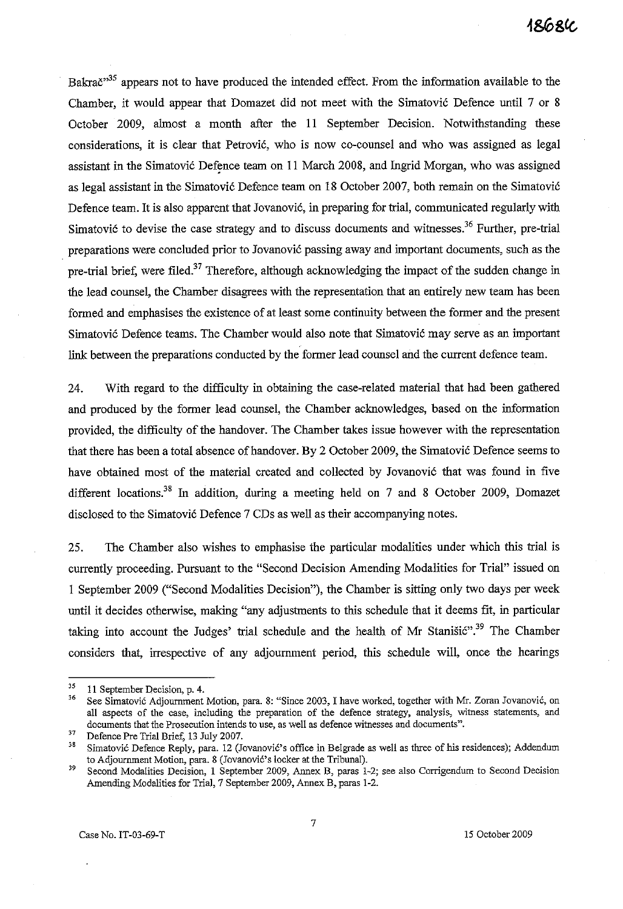Bakrač<sup>35</sup> appears not to have produced the intended effect. From the information available to the Chamber, it would appear that Domazet did not meet with the Simatovic Defence until 7 or 8 October 2009, almost a month after the 11 September Decision. Notwithstanding these considerations, it is clear that Petrovic, who is now co-counsel and who was assigned as legal assistant in the Simatovic Defence team on 11 March 2008, and Ingrid Morgan, who was assigned as legal assistant in the Simatovic Defence team on 18 October 2007, both remain on the Simatovic Defence team. It is also apparent that Jovanovic, in preparing for trial, communicated regularly with Simatović to devise the case strategy and to discuss documents and witnesses.<sup>36</sup> Further, pre-trial preparations were concluded prior to Jovanovic passing away and important documents, such as the pre-trial brief, were filed.<sup>37</sup> Therefore, although acknowledging the impact of the sudden change in the lead counsel, the Chamber disagrees with the representation that an entirely new team has been formed and emphasises the existence of at least some continuity between the former and the present Simatovic Defence teams. The Chamber would also note that Simatovic may serve as an important link between the preparations conducted by the former lead counsel and the current defence team.

24. With regard to the difficulty in obtaining the case-related material that had been gathered and produced by the former lead counsel, the Chamber acknowledges, based on the information provided, the difficulty of the handover. The Chamber takes issue however with the representation that there has been a total absence of handover. By 2 October 2009, the Simatović Defence seems to have obtained most of the material created and collected by Jovanovic that was found in five different locations.<sup>38</sup> In addition, during a meeting held on 7 and 8 October 2009, Domazet disclosed to the Simatovic Defence 7 CDs as well as their accompanying notes.

25. The Chamber also wishes to emphasise the particular modalities under which this trial is currently proceeding. Pursuant to the "Second Decision Amending Modalities for Trial" issued on 1 September 2009 ("Second Modalities Decision"), the Chamber is sitting only two days per week until it decides otherwise, making "any adjustments to this schedule that it deems fit, in particular taking into account the Judges' trial schedule and the health of Mr Stanistic".<sup>39</sup> The Chamber considers that, irrespective of any adjournment period, this schedule will, once the hearings

 $^{35}$  11 September Decision, p. 4.

**<sup>36</sup> See Simatovic Adjournment Motion, para. 8: "Since 2003, I have worked, together with Mr. Zoran Jovanovic, on all aspects of the case, including the preparation of the defence strategy, analysis, witness statements, and documents that the Prosecution intends to use, as well as defence witnesses and documents",** 

**<sup>37</sup> Defence Pre Trial Brief, 13 July 2007.** 

Simatović Defence Reply, para. 12 (Jovanović's office in Belgrade as well as three of his residences); Addendum to Adjournment Motion, para. 8 (Jovanović's locker at the Tribunal).

**<sup>39</sup> Second Modalities Decision, 1 September 2009, Annex B, paras** 1~2; **see also Corrigendum to Second Decision**  Amending Modalities for Trial, 7 September 2009, Annex B, paras 1-2.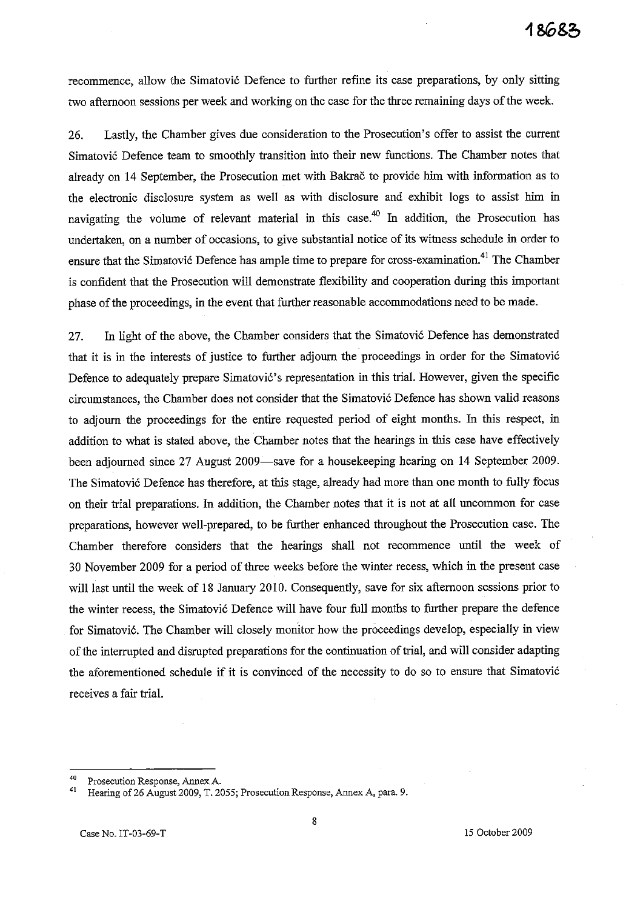recommence, allow the Simatović Defence to further refine its case preparations, by only sitting two afternoon sessions per week and working on the case for the three remaining days of the week.

26. Lastly, the Chamber gives due consideration to the Prosecution's offer to assist the current Simatovi6 Defence team to smoothly transition into their new functions. The Chamber notes that already on 14 September, the Prosecution met with Bakrac to provide him with information as to the electronic disclosure system as well as with disclosure and exhibit logs to assist him in navigating the volume of relevant material in this case.<sup>40</sup> In addition, the Prosecution has undertaken, on a number of occasions, to give substantial notice of its witness schedule in order to ensure that the Simatović Defence has ample time to prepare for cross-examination.<sup>41</sup> The Chamber is confident that the Prosecution will demonstrate flexibility and cooperation during this important phase of the proceedings, in the event that further reasonable accommodations need to be made.

27. In light of the above, the Chamber considers that the Simatović Defence has demonstrated that it is in the interests of justice to further adjourn the proceedings in order for the Simatovi6 Defence to adequately prepare Simatović's representation in this trial. However, given the specific circumstances, the Chamber does not consider that the Simatović Defence has shown valid reasons to adjourn the proceedings for the entire requested period of eight months. In this respect, in addition to what is stated above, the Chamber notes that the hearings in this case have effectively been adjourned since 27 August 2009-save for a housekeeping hearing on 14 September 2009. The Simatović Defence has therefore, at this stage, already had more than one month to fully focus on their trial preparations. In addition, the Chamber notes that it is not at all uncommon for case preparations, however well-prepared, to be further enhanced throughout the Prosecution case. The Chamber therefore considers that the hearings shall not recommence until the week of 30 November 2009 for a period of three weeks before the winter recess, which in the present case will last until the week of 18 January 2010. Consequently, save for six afternoon sessions prior to the winter recess, the Simatović Defence will have four full months to further prepare the defence for Simatovi6. The Chamber will closely monitor how the proceedings develop, especially in view of the interrupted and disrupted preparations for the continuation of trial, and will consider adapting the aforementioned schedule if it is convinced of the necessity to do so to ensure that Simatović receives a fair trial.

**<sup>40</sup> Prosecution Response, Annex A.** 

Hearing of 26 August 2009, T. 2055; Prosecution Response, Annex A, para. 9.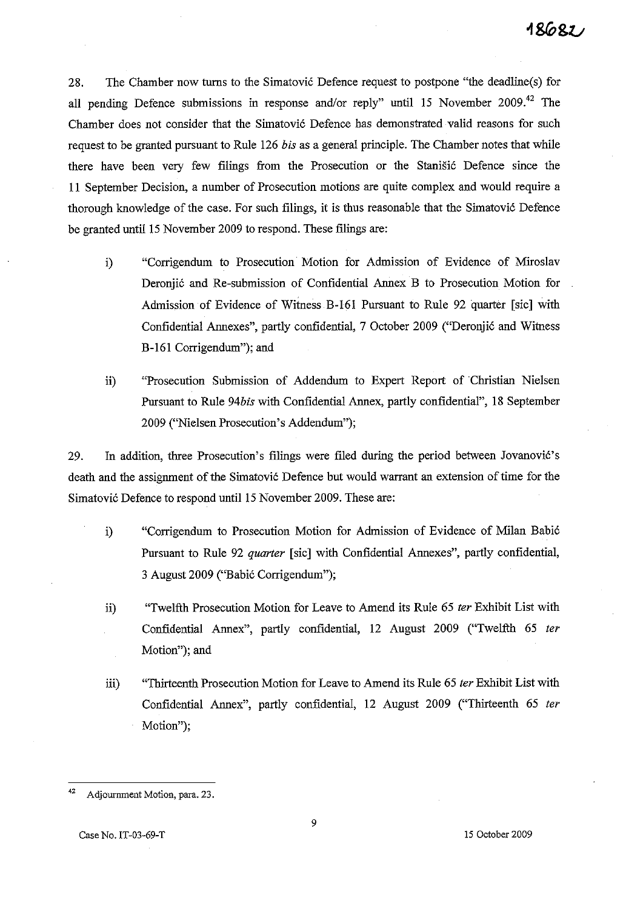28. The Chamber now turns to the Simatovic Defence request to postpone "the deadline(s) for all pending Defence submissions in response and/or reply" until 15 November 2009.<sup>42</sup> The Chamber does not consider that the Simatovic Defence has demonstrated valid reasons for such request to be granted pursuant to Rule 126 *his* as a general principle. The Chamber notes that while there have been very few filings from the Prosecution or the Stanisic Defence since the 11 September Decision, a number of Prosecution motions are quite complex and would require a thorough knowledge of the case. For such filings, it is thus reasonable that the Simatovic Defence be granted until 15 November 2009 to respond. These filings are:

- i) "Corrigendum to Prosecution Motion for Admission of Evidence of Miroslav Deronjic and Re-submission of Confidential Annex B to Prosecution Motion for Admission of Evidence of Witness B-161 Pursuant to Rule 92 quarter [sic] with Confidential Annexes", partly confidential, 7 October 2009 ("Deronjic and Witness B-161 Corrigendum"); and
- ii) "Prosecution Submission of Addendum to Expert Report of Christian Nielsen Pursuant to Rule 94bis with Confidential Annex, partly confidential", 18 September 2009 ("Nielsen Prosecution's Addendum");

29. In addition, three Prosecution's filings were filed during the period between Jovanovic's death and the assignment of the Simatovic Defence but would warrant an extension of time for the Simatovic Defence to respond until 15 November 2009. These are:

- i) "Corrigendum to Prosecution Motion for Admission of Evidence of Milan Babic Pursuant to Rule 92 quarter [sic] with Confidential Annexes", partly confidential, 3 August 2009 ("Babic Corrigendum");
- ii) "Twelfth Prosecution Motion for Leave to Amend its Rule 65 ter Exhibit List with Confidential Annex", partly confidential, 12 August 2009 ("Twelfth 65 ter Motion"); and
- iii) "Thirteenth Prosecution Motion for Leave to Amend its Rule 65 ter Exhibit List with Confidential Annex", partly confidential, 12 August 2009 ("Thirteenth 65 ter Motion");

<sup>42</sup> Adjournment Motion, para. 23.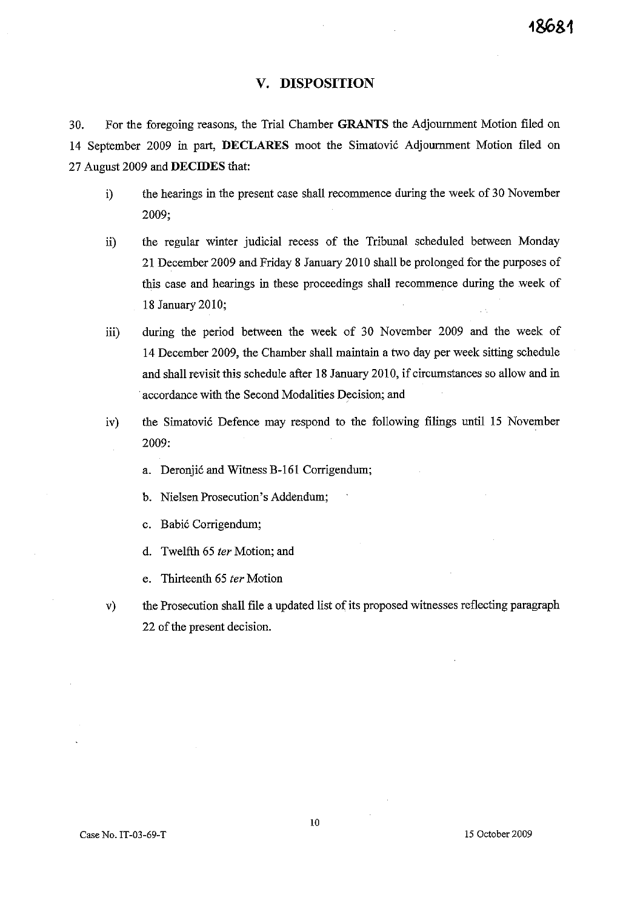## **V. DISPOSITION**

30. For the foregoing reasons, the Trial Chamber GRANTS the Adjournment Motion filed on 14 September 2009 in part, **DECLARES** moot the Simatovic Adjournment Motion filed on 27 August 2009 and **DECIDES** that:

- i) the hearings in the present case shall recommence during the week of 30 November 2009;
- ii) the regular winter judicial recess of the Tribunal scheduled between Monday 21 December 2009 and Friday 8 January 2010 shall be prolonged for the purposes of this case and hearings in these proceedings shall recommence during the week of 18 January 2010;
- iii) during the period between the week of 30 November 2009 and the week of 14 December 2009, the Chamber shall maintain a two day per week sitting schedule and shall revisit this schedule after 18 January 2010, if circumstances so allow and in . accordance with the Second Modalities Decision; and
- iv) the Simatovic Defence may respond to the following filings until 15 November 2009:
	- a. Deronjic and Witness B-161 Corrigendum;
	- b. Nielsen Prosecution's Addendum;
	- c. Babic Corrigendum;
	- d. Twelfth 65 fer Motion; and
	- e. Thirteenth 65 ter Motion
- v) the Prosecution shall file a updated list of its proposed witnesses reflecting paragraph 22 of the present decision.